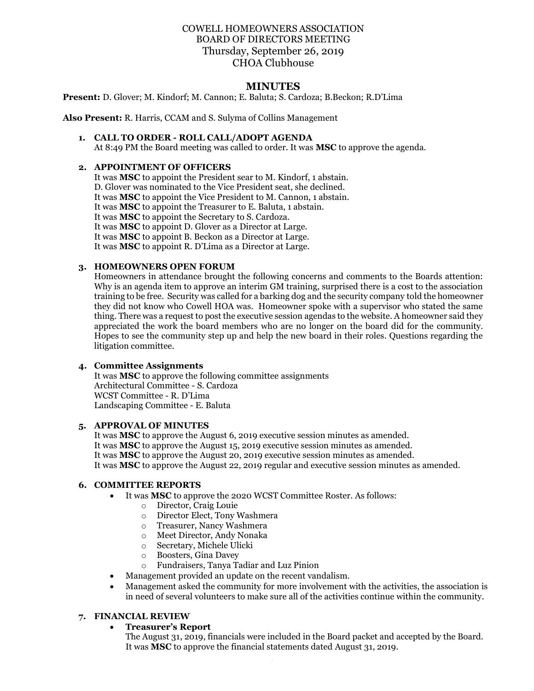## COWELL HOMEOWNERS ASSOCIATION BOARD OF DIRECTORS MEETING Thursday, September 26, 2019 CHOA Clubhouse

### **MINUTES**

**Present:** D. Glover; M. Kindorf; M. Cannon; E. Baluta; S. Cardoza; B.Beckon; R.D'Lima

**Also Present:** R. Harris, CCAM and S. Sulyma of Collins Management

#### **1. CALL TO ORDER - ROLL CALL/ADOPT AGENDA** At 8:49 PM the Board meeting was called to order. It was **MSC** to approve the agenda.

#### **2. APPOINTMENT OF OFFICERS**

It was **MSC** to appoint the President sear to M. Kindorf, 1 abstain. D. Glover was nominated to the Vice President seat, she declined. It was **MSC** to appoint the Vice President to M. Cannon, 1 abstain. It was **MSC** to appoint the Treasurer to E. Baluta, 1 abstain. It was **MSC** to appoint the Secretary to S. Cardoza. It was **MSC** to appoint D. Glover as a Director at Large. It was **MSC** to appoint B. Beckon as a Director at Large. It was **MSC** to appoint R. D'Lima as a Director at Large.

### **3. HOMEOWNERS OPEN FORUM**

Homeowners in attendance brought the following concerns and comments to the Boards attention: Why is an agenda item to approve an interim GM training, surprised there is a cost to the association training to be free. Security was called for a barking dog and the security company told the homeowner they did not know who Cowell HOA was. Homeowner spoke with a supervisor who stated the same thing. There was a request to post the executive session agendas to the website. A homeowner said they appreciated the work the board members who are no longer on the board did for the community. Hopes to see the community step up and help the new board in their roles. Questions regarding the litigation committee.

## **4. Committee Assignments**

It was **MSC** to approve the following committee assignments Architectural Committee - S. Cardoza WCST Committee - R. D'Lima Landscaping Committee - E. Baluta

#### **5. APPROVAL OF MINUTES**

It was **MSC** to approve the August 6, 2019 executive session minutes as amended. It was **MSC** to approve the August 15, 2019 executive session minutes as amended. It was **MSC** to approve the August 20, 2019 executive session minutes as amended. It was **MSC** to approve the August 22, 2019 regular and executive session minutes as amended.

#### **6. COMMITTEE REPORTS**

- It was **MSC** to approve the 2020 WCST Committee Roster. As follows:
	- o Director, Craig Louie
	- o Director Elect, Tony Washmera
	- o Treasurer, Nancy Washmera
	- o Meet Director, Andy Nonaka
	- o Secretary, Michele Ulicki
	- o Boosters, Gina Davey
	- o Fundraisers, Tanya Tadiar and Luz Pinion
- Management provided an update on the recent vandalism.
- Management asked the community for more involvement with the activities, the association is in need of several volunteers to make sure all of the activities continue within the community.

### **7. FINANCIAL REVIEW**

#### • **Treasurer's Report**

The August 31, 2019, financials were included in the Board packet and accepted by the Board. It was **MSC** to approve the financial statements dated August 31, 2019.